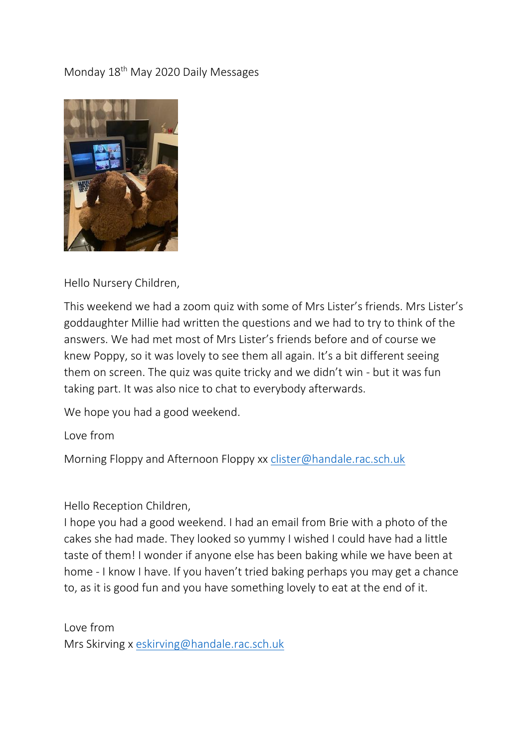## Monday 18th May 2020 Daily Messages



## Hello Nursery Children,

This weekend we had a zoom quiz with some of Mrs Lister's friends. Mrs Lister's goddaughter Millie had written the questions and we had to try to think of the answers. We had met most of Mrs Lister's friends before and of course we knew Poppy, so it was lovely to see them all again. It's a bit different seeing them on screen. The quiz was quite tricky and we didn't win - but it was fun taking part. It was also nice to chat to everybody afterwards.

We hope you had a good weekend.

Love from

Morning Floppy and Afternoon Floppy xx [clister@handale.rac.sch.uk](mailto:clister@handale.rac.sch.uk)

Hello Reception Children,

I hope you had a good weekend. I had an email from Brie with a photo of the cakes she had made. They looked so yummy I wished I could have had a little taste of them! I wonder if anyone else has been baking while we have been at home - I know I have. If you haven't tried baking perhaps you may get a chance to, as it is good fun and you have something lovely to eat at the end of it.

Love from Mrs Skirving x [eskirving@handale.rac.sch.uk](mailto:eskirving@handale.rac.sch.uk)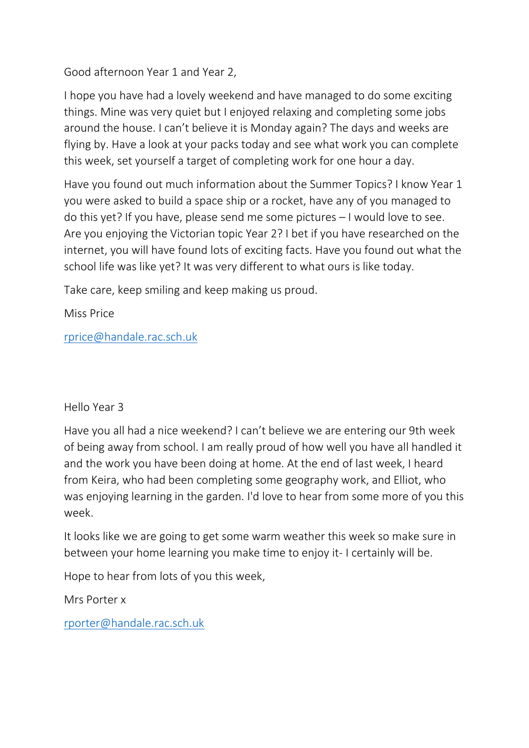Good afternoon Year 1 and Year 2,

I hope you have had a lovely weekend and have managed to do some exciting things. Mine was very quiet but I enjoyed relaxing and completing some jobs around the house. I can't believe it is Monday again? The days and weeks are flying by. Have a look at your packs today and see what work you can complete this week, set yourself a target of completing work for one hour a day.

Have you found out much information about the Summer Topics? I know Year 1 you were asked to build a space ship or a rocket, have any of you managed to do this yet? If you have, please send me some pictures – I would love to see. Are you enjoying the Victorian topic Year 2? I bet if you have researched on the internet, you will have found lots of exciting facts. Have you found out what the school life was like yet? It was very different to what ours is like today.

Take care, keep smiling and keep making us proud.

Miss Price

[rprice@handale.rac.sch.uk](mailto:rprice@handale.rac.sch.uk)

## Hello Year 3

Have you all had a nice weekend? I can't believe we are entering our 9th week of being away from school. I am really proud of how well you have all handled it and the work you have been doing at home. At the end of last week, I heard from Keira, who had been completing some geography work, and Elliot, who was enjoying learning in the garden. I'd love to hear from some more of you this week.

It looks like we are going to get some warm weather this week so make sure in between your home learning you make time to enjoy it- I certainly will be.

Hope to hear from lots of you this week,

Mrs Porter x

[rporter@handale.rac.sch.uk](mailto:rporter@handale.rac.sch.uk)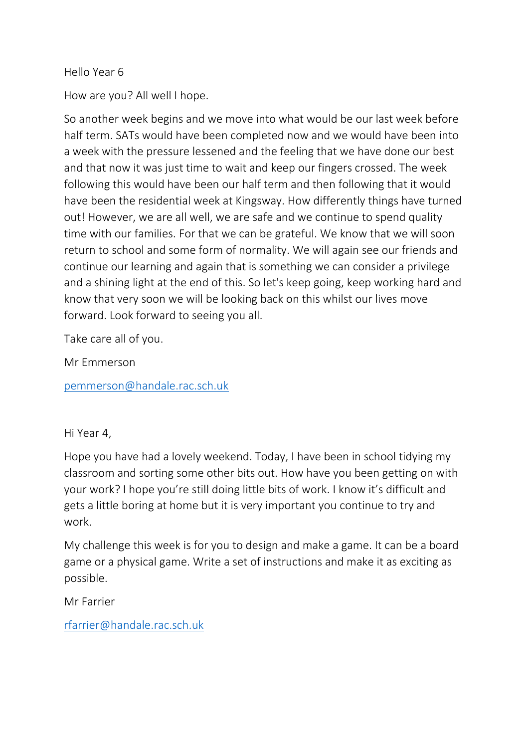## Hello Year 6

How are you? All well I hope.

So another week begins and we move into what would be our last week before half term. SATs would have been completed now and we would have been into a week with the pressure lessened and the feeling that we have done our best and that now it was just time to wait and keep our fingers crossed. The week following this would have been our half term and then following that it would have been the residential week at Kingsway. How differently things have turned out! However, we are all well, we are safe and we continue to spend quality time with our families. For that we can be grateful. We know that we will soon return to school and some form of normality. We will again see our friends and continue our learning and again that is something we can consider a privilege and a shining light at the end of this. So let's keep going, keep working hard and know that very soon we will be looking back on this whilst our lives move forward. Look forward to seeing you all.

Take care all of you.

Mr Emmerson

[pemmerson@handale.rac.sch.uk](mailto:pemmerson@handale.rac.sch.uk)

Hi Year 4,

Hope you have had a lovely weekend. Today, I have been in school tidying my classroom and sorting some other bits out. How have you been getting on with your work? I hope you're still doing little bits of work. I know it's difficult and gets a little boring at home but it is very important you continue to try and work.

My challenge this week is for you to design and make a game. It can be a board game or a physical game. Write a set of instructions and make it as exciting as possible.

Mr Farrier

[rfarrier@handale.rac.sch.uk](mailto:rfarrier@handale.rac.sch.uk)